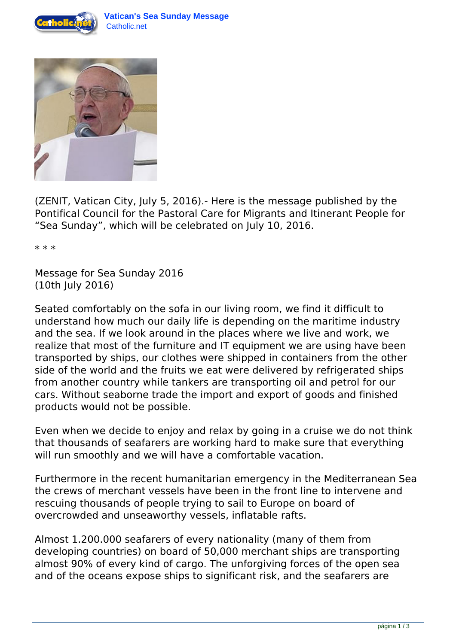



(ZENIT, Vatican City, July 5, 2016).- Here is the message published by the Pontifical Council for the Pastoral Care for Migrants and Itinerant People for "Sea Sunday", which will be celebrated on July 10, 2016.

\* \* \*

Message for Sea Sunday 2016 (10th July 2016)

Seated comfortably on the sofa in our living room, we find it difficult to understand how much our daily life is depending on the maritime industry and the sea. If we look around in the places where we live and work, we realize that most of the furniture and IT equipment we are using have been transported by ships, our clothes were shipped in containers from the other side of the world and the fruits we eat were delivered by refrigerated ships from another country while tankers are transporting oil and petrol for our cars. Without seaborne trade the import and export of goods and finished products would not be possible.

Even when we decide to enjoy and relax by going in a cruise we do not think that thousands of seafarers are working hard to make sure that everything will run smoothly and we will have a comfortable vacation.

Furthermore in the recent humanitarian emergency in the Mediterranean Sea the crews of merchant vessels have been in the front line to intervene and rescuing thousands of people trying to sail to Europe on board of overcrowded and unseaworthy vessels, inflatable rafts.

Almost 1.200.000 seafarers of every nationality (many of them from developing countries) on board of 50,000 merchant ships are transporting almost 90% of every kind of cargo. The unforgiving forces of the open sea and of the oceans expose ships to significant risk, and the seafarers are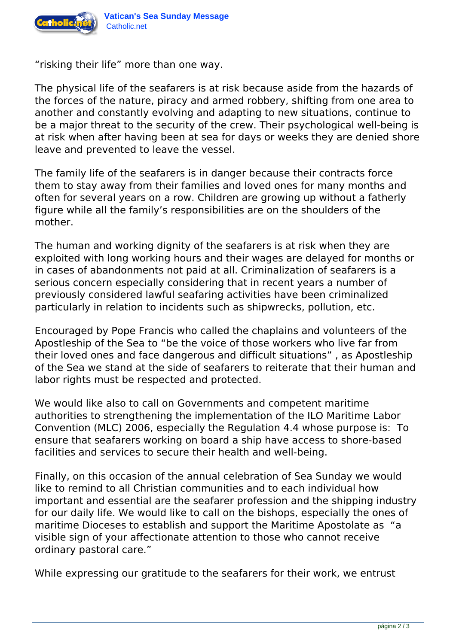

"risking their life" more than one way.

The physical life of the seafarers is at risk because aside from the hazards of the forces of the nature, piracy and armed robbery, shifting from one area to another and constantly evolving and adapting to new situations, continue to be a major threat to the security of the crew. Their psychological well-being is at risk when after having been at sea for days or weeks they are denied shore leave and prevented to leave the vessel.

The family life of the seafarers is in danger because their contracts force them to stay away from their families and loved ones for many months and often for several years on a row. Children are growing up without a fatherly figure while all the family's responsibilities are on the shoulders of the mother.

The human and working dignity of the seafarers is at risk when they are exploited with long working hours and their wages are delayed for months or in cases of abandonments not paid at all. Criminalization of seafarers is a serious concern especially considering that in recent years a number of previously considered lawful seafaring activities have been criminalized particularly in relation to incidents such as shipwrecks, pollution, etc.

Encouraged by Pope Francis who called the chaplains and volunteers of the Apostleship of the Sea to "be the voice of those workers who live far from their loved ones and face dangerous and difficult situations" , as Apostleship of the Sea we stand at the side of seafarers to reiterate that their human and labor rights must be respected and protected.

We would like also to call on Governments and competent maritime authorities to strengthening the implementation of the ILO Maritime Labor Convention (MLC) 2006, especially the Regulation 4.4 whose purpose is: To ensure that seafarers working on board a ship have access to shore-based facilities and services to secure their health and well-being.

Finally, on this occasion of the annual celebration of Sea Sunday we would like to remind to all Christian communities and to each individual how important and essential are the seafarer profession and the shipping industry for our daily life. We would like to call on the bishops, especially the ones of maritime Dioceses to establish and support the Maritime Apostolate as "a visible sign of your affectionate attention to those who cannot receive ordinary pastoral care."

While expressing our gratitude to the seafarers for their work, we entrust